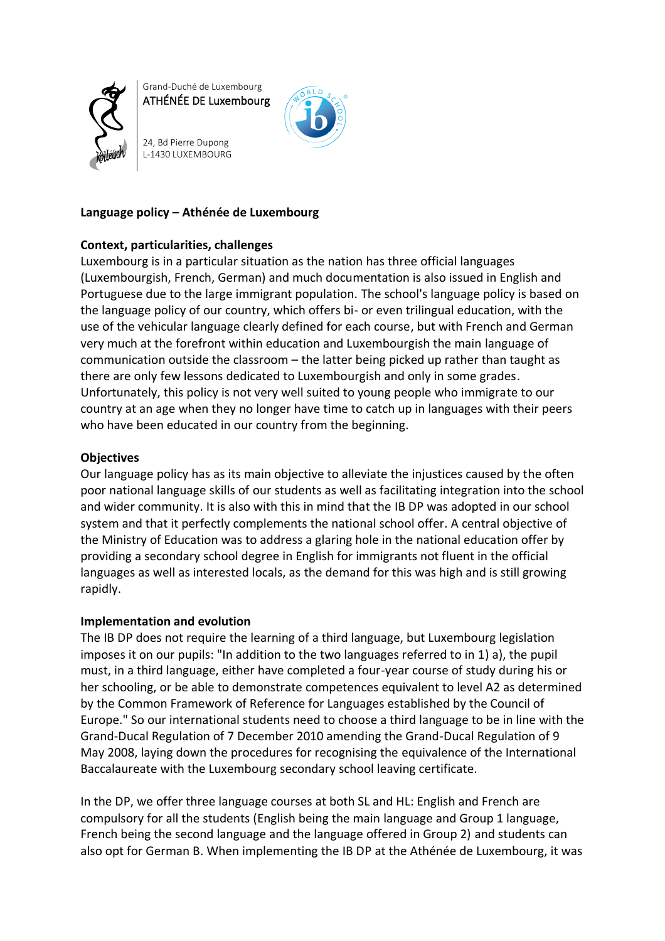

Grand-Duché de Luxembourg ATHÉNÉE DE Luxembourg

24, Bd Pierre Dupong L-1430 LUXEMBOURG



### **Language policy – Athénée de Luxembourg**

# **Context, particularities, challenges**

Luxembourg is in a particular situation as the nation has three official languages (Luxembourgish, French, German) and much documentation is also issued in English and Portuguese due to the large immigrant population. The school's language policy is based on the language policy of our country, which offers bi- or even trilingual education, with the use of the vehicular language clearly defined for each course, but with French and German very much at the forefront within education and Luxembourgish the main language of communication outside the classroom – the latter being picked up rather than taught as there are only few lessons dedicated to Luxembourgish and only in some grades. Unfortunately, this policy is not very well suited to young people who immigrate to our country at an age when they no longer have time to catch up in languages with their peers who have been educated in our country from the beginning.

# **Objectives**

Our language policy has as its main objective to alleviate the injustices caused by the often poor national language skills of our students as well as facilitating integration into the school and wider community. It is also with this in mind that the IB DP was adopted in our school system and that it perfectly complements the national school offer. A central objective of the Ministry of Education was to address a glaring hole in the national education offer by providing a secondary school degree in English for immigrants not fluent in the official languages as well as interested locals, as the demand for this was high and is still growing rapidly.

## **Implementation and evolution**

The IB DP does not require the learning of a third language, but Luxembourg legislation imposes it on our pupils: "In addition to the two languages referred to in 1) a), the pupil must, in a third language, either have completed a four-year course of study during his or her schooling, or be able to demonstrate competences equivalent to level A2 as determined by the Common Framework of Reference for Languages established by the Council of Europe." So our international students need to choose a third language to be in line with the Grand-Ducal Regulation of 7 December 2010 amending the Grand-Ducal Regulation of 9 May 2008, laying down the procedures for recognising the equivalence of the International Baccalaureate with the Luxembourg secondary school leaving certificate.

In the DP, we offer three language courses at both SL and HL: English and French are compulsory for all the students (English being the main language and Group 1 language, French being the second language and the language offered in Group 2) and students can also opt for German B. When implementing the IB DP at the Athénée de Luxembourg, it was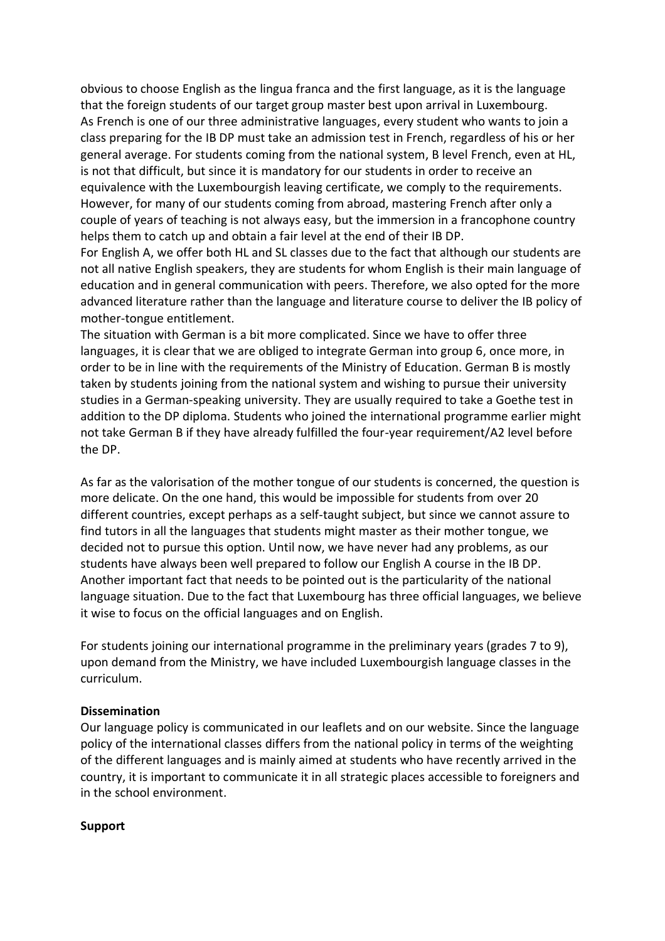obvious to choose English as the lingua franca and the first language, as it is the language that the foreign students of our target group master best upon arrival in Luxembourg. As French is one of our three administrative languages, every student who wants to join a class preparing for the IB DP must take an admission test in French, regardless of his or her general average. For students coming from the national system, B level French, even at HL, is not that difficult, but since it is mandatory for our students in order to receive an equivalence with the Luxembourgish leaving certificate, we comply to the requirements. However, for many of our students coming from abroad, mastering French after only a couple of years of teaching is not always easy, but the immersion in a francophone country helps them to catch up and obtain a fair level at the end of their IB DP.

For English A, we offer both HL and SL classes due to the fact that although our students are not all native English speakers, they are students for whom English is their main language of education and in general communication with peers. Therefore, we also opted for the more advanced literature rather than the language and literature course to deliver the IB policy of mother-tongue entitlement.

The situation with German is a bit more complicated. Since we have to offer three languages, it is clear that we are obliged to integrate German into group 6, once more, in order to be in line with the requirements of the Ministry of Education. German B is mostly taken by students joining from the national system and wishing to pursue their university studies in a German-speaking university. They are usually required to take a Goethe test in addition to the DP diploma. Students who joined the international programme earlier might not take German B if they have already fulfilled the four-year requirement/A2 level before the DP.

As far as the valorisation of the mother tongue of our students is concerned, the question is more delicate. On the one hand, this would be impossible for students from over 20 different countries, except perhaps as a self-taught subject, but since we cannot assure to find tutors in all the languages that students might master as their mother tongue, we decided not to pursue this option. Until now, we have never had any problems, as our students have always been well prepared to follow our English A course in the IB DP. Another important fact that needs to be pointed out is the particularity of the national language situation. Due to the fact that Luxembourg has three official languages, we believe it wise to focus on the official languages and on English.

For students joining our international programme in the preliminary years (grades 7 to 9), upon demand from the Ministry, we have included Luxembourgish language classes in the curriculum.

## **Dissemination**

Our language policy is communicated in our leaflets and on our website. Since the language policy of the international classes differs from the national policy in terms of the weighting of the different languages and is mainly aimed at students who have recently arrived in the country, it is important to communicate it in all strategic places accessible to foreigners and in the school environment.

## **Support**